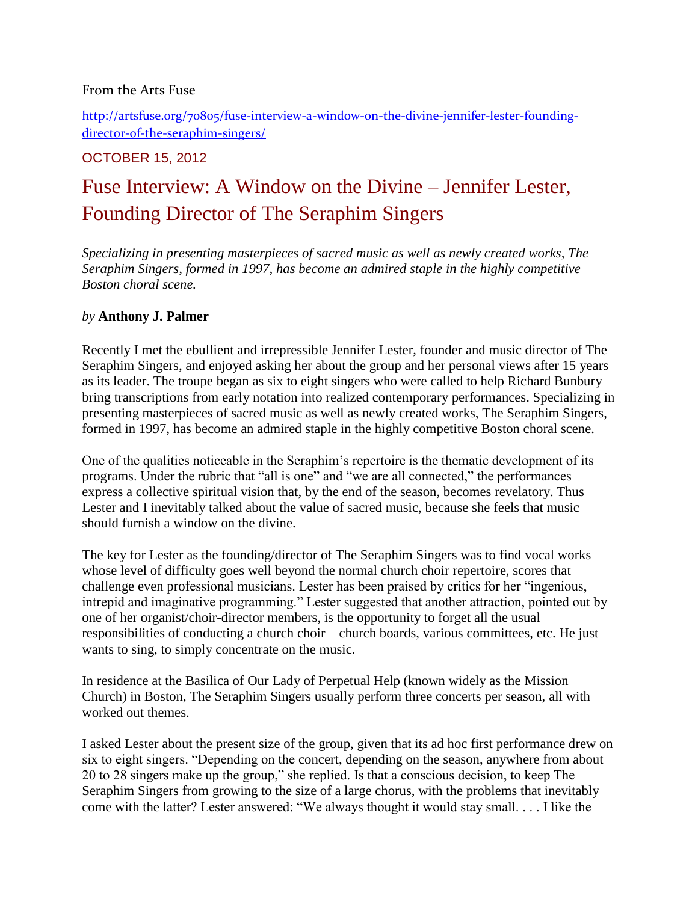## From the Arts Fuse

[http://artsfuse.org/70805/fuse-interview-a-window-on-the-divine-jennifer-lester-founding](http://artsfuse.org/70805/fuse-interview-a-window-on-the-divine-jennifer-lester-founding-director-of-the-seraphim-singers/)[director-of-the-seraphim-singers/](http://artsfuse.org/70805/fuse-interview-a-window-on-the-divine-jennifer-lester-founding-director-of-the-seraphim-singers/)

## OCTOBER 15, 2012

## Fuse Interview: A Window on the Divine – Jennifer Lester, Founding Director of The Seraphim Singers

*Specializing in presenting masterpieces of sacred music as well as newly created works, The Seraphim Singers, formed in 1997, has become an admired staple in the highly competitive Boston choral scene.*

## *by* **Anthony J. Palmer**

Recently I met the ebullient and irrepressible Jennifer Lester, founder and music director of The Seraphim Singers, and enjoyed asking her about the group and her personal views after 15 years as its leader. The troupe began as six to eight singers who were called to help Richard Bunbury bring transcriptions from early notation into realized contemporary performances. Specializing in presenting masterpieces of sacred music as well as newly created works, The Seraphim Singers, formed in 1997, has become an admired staple in the highly competitive Boston choral scene.

One of the qualities noticeable in the Seraphim's repertoire is the thematic development of its programs. Under the rubric that "all is one" and "we are all connected," the performances express a collective spiritual vision that, by the end of the season, becomes revelatory. Thus Lester and I inevitably talked about the value of sacred music, because she feels that music should furnish a window on the divine.

The key for Lester as the founding/director of The Seraphim Singers was to find vocal works whose level of difficulty goes well beyond the normal church choir repertoire, scores that challenge even professional musicians. Lester has been praised by critics for her "ingenious, intrepid and imaginative programming." Lester suggested that another attraction, pointed out by one of her organist/choir-director members, is the opportunity to forget all the usual responsibilities of conducting a church choir—church boards, various committees, etc. He just wants to sing, to simply concentrate on the music.

In residence at the Basilica of Our Lady of Perpetual Help (known widely as the Mission Church) in Boston, The Seraphim Singers usually perform three concerts per season, all with worked out themes.

I asked Lester about the present size of the group, given that its ad hoc first performance drew on six to eight singers. "Depending on the concert, depending on the season, anywhere from about 20 to 28 singers make up the group," she replied. Is that a conscious decision, to keep The Seraphim Singers from growing to the size of a large chorus, with the problems that inevitably come with the latter? Lester answered: "We always thought it would stay small. . . . I like the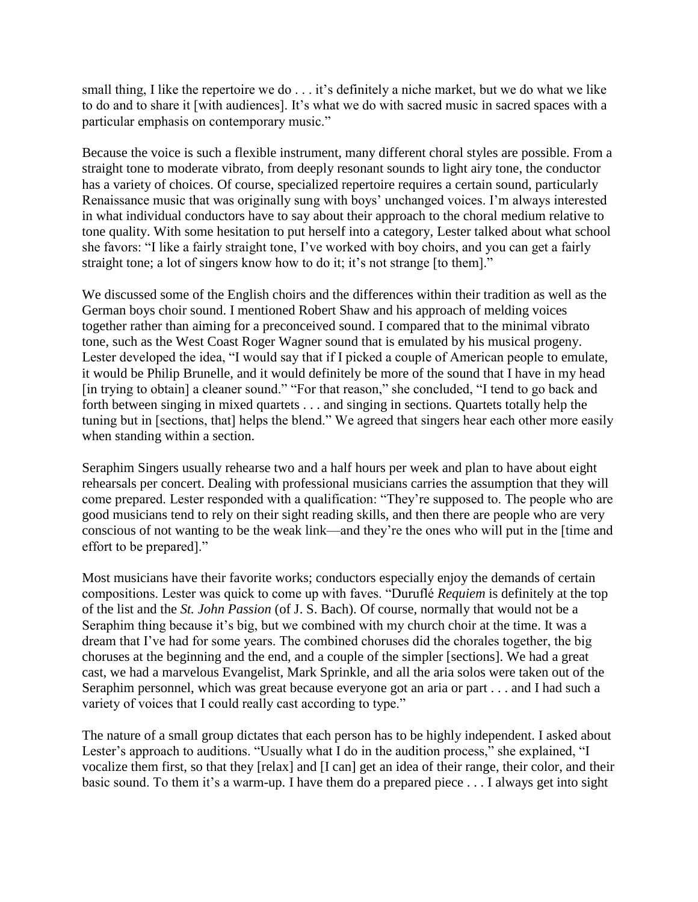small thing, I like the repertoire we do . . . it's definitely a niche market, but we do what we like to do and to share it [with audiences]. It's what we do with sacred music in sacred spaces with a particular emphasis on contemporary music."

Because the voice is such a flexible instrument, many different choral styles are possible. From a straight tone to moderate vibrato, from deeply resonant sounds to light airy tone, the conductor has a variety of choices. Of course, specialized repertoire requires a certain sound, particularly Renaissance music that was originally sung with boys' unchanged voices. I'm always interested in what individual conductors have to say about their approach to the choral medium relative to tone quality. With some hesitation to put herself into a category, Lester talked about what school she favors: "I like a fairly straight tone, I've worked with boy choirs, and you can get a fairly straight tone; a lot of singers know how to do it; it's not strange [to them]."

We discussed some of the English choirs and the differences within their tradition as well as the German boys choir sound. I mentioned Robert Shaw and his approach of melding voices together rather than aiming for a preconceived sound. I compared that to the minimal vibrato tone, such as the West Coast Roger Wagner sound that is emulated by his musical progeny. Lester developed the idea, "I would say that if I picked a couple of American people to emulate, it would be Philip Brunelle, and it would definitely be more of the sound that I have in my head [in trying to obtain] a cleaner sound." "For that reason," she concluded, "I tend to go back and forth between singing in mixed quartets . . . and singing in sections. Quartets totally help the tuning but in [sections, that] helps the blend." We agreed that singers hear each other more easily when standing within a section.

Seraphim Singers usually rehearse two and a half hours per week and plan to have about eight rehearsals per concert. Dealing with professional musicians carries the assumption that they will come prepared. Lester responded with a qualification: "They're supposed to. The people who are good musicians tend to rely on their sight reading skills, and then there are people who are very conscious of not wanting to be the weak link—and they're the ones who will put in the [time and effort to be prepared]."

Most musicians have their favorite works; conductors especially enjoy the demands of certain compositions. Lester was quick to come up with faves. "Duruflé *Requiem* is definitely at the top of the list and the *St. John Passion* (of J. S. Bach). Of course, normally that would not be a Seraphim thing because it's big, but we combined with my church choir at the time. It was a dream that I've had for some years. The combined choruses did the chorales together, the big choruses at the beginning and the end, and a couple of the simpler [sections]. We had a great cast, we had a marvelous Evangelist, Mark Sprinkle, and all the aria solos were taken out of the Seraphim personnel, which was great because everyone got an aria or part . . . and I had such a variety of voices that I could really cast according to type."

The nature of a small group dictates that each person has to be highly independent. I asked about Lester's approach to auditions. "Usually what I do in the audition process," she explained, "I vocalize them first, so that they [relax] and [I can] get an idea of their range, their color, and their basic sound. To them it's a warm-up. I have them do a prepared piece . . . I always get into sight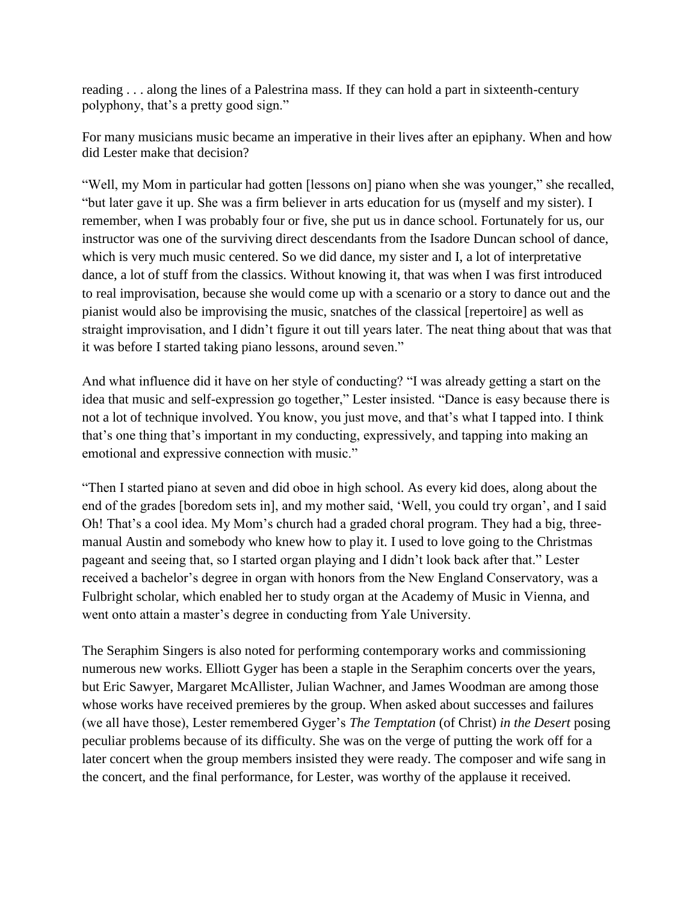reading . . . along the lines of a Palestrina mass. If they can hold a part in sixteenth-century polyphony, that's a pretty good sign."

For many musicians music became an imperative in their lives after an epiphany. When and how did Lester make that decision?

"Well, my Mom in particular had gotten [lessons on] piano when she was younger," she recalled, "but later gave it up. She was a firm believer in arts education for us (myself and my sister). I remember, when I was probably four or five, she put us in dance school. Fortunately for us, our instructor was one of the surviving direct descendants from the Isadore Duncan school of dance, which is very much music centered. So we did dance, my sister and I, a lot of interpretative dance, a lot of stuff from the classics. Without knowing it, that was when I was first introduced to real improvisation, because she would come up with a scenario or a story to dance out and the pianist would also be improvising the music, snatches of the classical [repertoire] as well as straight improvisation, and I didn't figure it out till years later. The neat thing about that was that it was before I started taking piano lessons, around seven."

And what influence did it have on her style of conducting? "I was already getting a start on the idea that music and self-expression go together," Lester insisted. "Dance is easy because there is not a lot of technique involved. You know, you just move, and that's what I tapped into. I think that's one thing that's important in my conducting, expressively, and tapping into making an emotional and expressive connection with music."

"Then I started piano at seven and did oboe in high school. As every kid does, along about the end of the grades [boredom sets in], and my mother said, 'Well, you could try organ', and I said Oh! That's a cool idea. My Mom's church had a graded choral program. They had a big, threemanual Austin and somebody who knew how to play it. I used to love going to the Christmas pageant and seeing that, so I started organ playing and I didn't look back after that." Lester received a bachelor's degree in organ with honors from the New England Conservatory, was a Fulbright scholar, which enabled her to study organ at the Academy of Music in Vienna, and went onto attain a master's degree in conducting from Yale University.

The Seraphim Singers is also noted for performing contemporary works and commissioning numerous new works. Elliott Gyger has been a staple in the Seraphim concerts over the years, but Eric Sawyer, Margaret McAllister, Julian Wachner, and James Woodman are among those whose works have received premieres by the group. When asked about successes and failures (we all have those), Lester remembered Gyger's *The Temptation* (of Christ) *in the Desert* posing peculiar problems because of its difficulty. She was on the verge of putting the work off for a later concert when the group members insisted they were ready. The composer and wife sang in the concert, and the final performance, for Lester, was worthy of the applause it received.